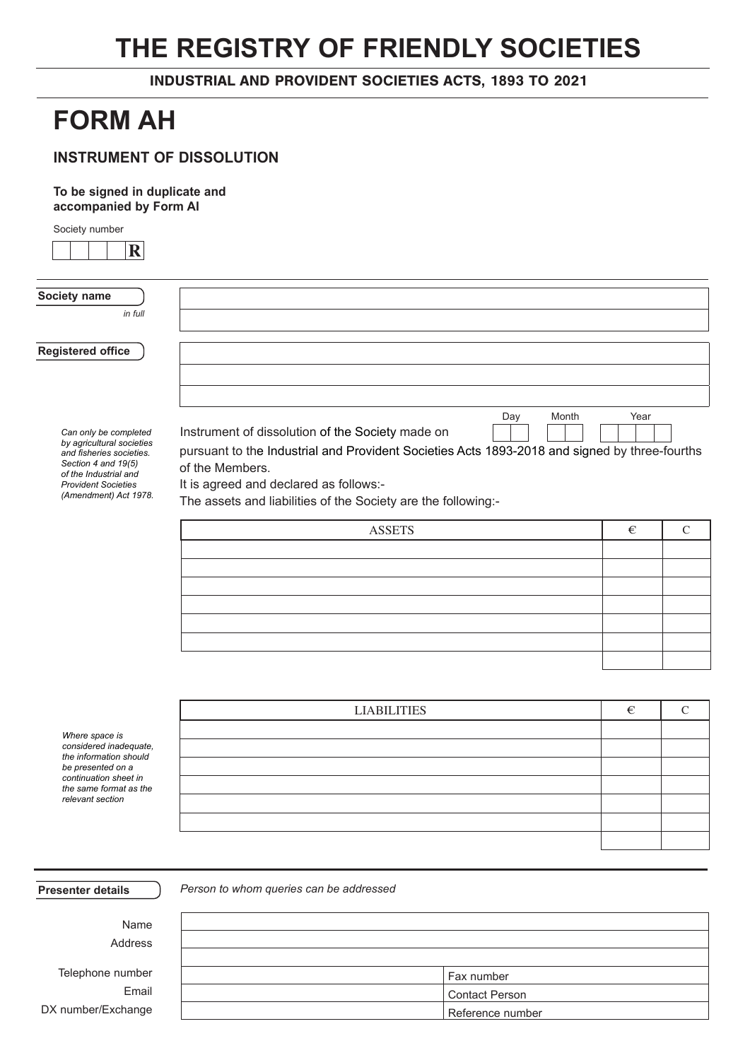# **THE REGISTRY OF FRIENDLY SOCIETIES**

INDUSTRIAL AND PROVIDENT SOCIETIES ACTS, 1893 TO 2021

## **FORM AH**

### **INSTRUMENT OF DISSOLUTION**

**To be signed in duplicate and accompanied by Form AI**

Society number

| $\mathbf R$                                                              |                                                                                                                  |      |               |  |  |  |
|--------------------------------------------------------------------------|------------------------------------------------------------------------------------------------------------------|------|---------------|--|--|--|
| Society name                                                             |                                                                                                                  |      |               |  |  |  |
| in full                                                                  |                                                                                                                  |      |               |  |  |  |
|                                                                          |                                                                                                                  |      |               |  |  |  |
| <b>Registered office</b>                                                 |                                                                                                                  |      |               |  |  |  |
|                                                                          |                                                                                                                  |      |               |  |  |  |
|                                                                          |                                                                                                                  |      |               |  |  |  |
| Can only be completed<br>by agricultural societies                       | Month<br>Day<br>Instrument of dissolution of the Society made on                                                 | Year |               |  |  |  |
| and fisheries societies.<br>Section 4 and 19(5)<br>of the Industrial and | pursuant to the Industrial and Provident Societies Acts 1893-2018 and signed by three-fourths<br>of the Members. |      |               |  |  |  |
| <b>Provident Societies</b>                                               | It is agreed and declared as follows:-                                                                           |      |               |  |  |  |
| (Amendment) Act 1978.                                                    | The assets and liabilities of the Society are the following:-                                                    |      |               |  |  |  |
|                                                                          | <b>ASSETS</b>                                                                                                    | €    | $\mathcal{C}$ |  |  |  |
|                                                                          |                                                                                                                  |      |               |  |  |  |
|                                                                          |                                                                                                                  |      |               |  |  |  |
|                                                                          |                                                                                                                  |      |               |  |  |  |
|                                                                          |                                                                                                                  |      |               |  |  |  |
|                                                                          |                                                                                                                  |      |               |  |  |  |
|                                                                          |                                                                                                                  |      |               |  |  |  |
|                                                                          |                                                                                                                  |      |               |  |  |  |
|                                                                          |                                                                                                                  |      |               |  |  |  |
|                                                                          | <b>LIABILITIES</b>                                                                                               | €    | $\mathcal{C}$ |  |  |  |
| Where space is                                                           |                                                                                                                  |      |               |  |  |  |
| considered inadequate.                                                   |                                                                                                                  |      |               |  |  |  |
| the information should<br>be presented on a                              |                                                                                                                  |      |               |  |  |  |

*continuation sheet in the same format as the relevant section*

**Presenter details** *Person to whom queries can be addressed*

Address Telephone number Email DX number/Exchange

Name

| Fax number            |
|-----------------------|
| <b>Contact Person</b> |
| Reference number      |
|                       |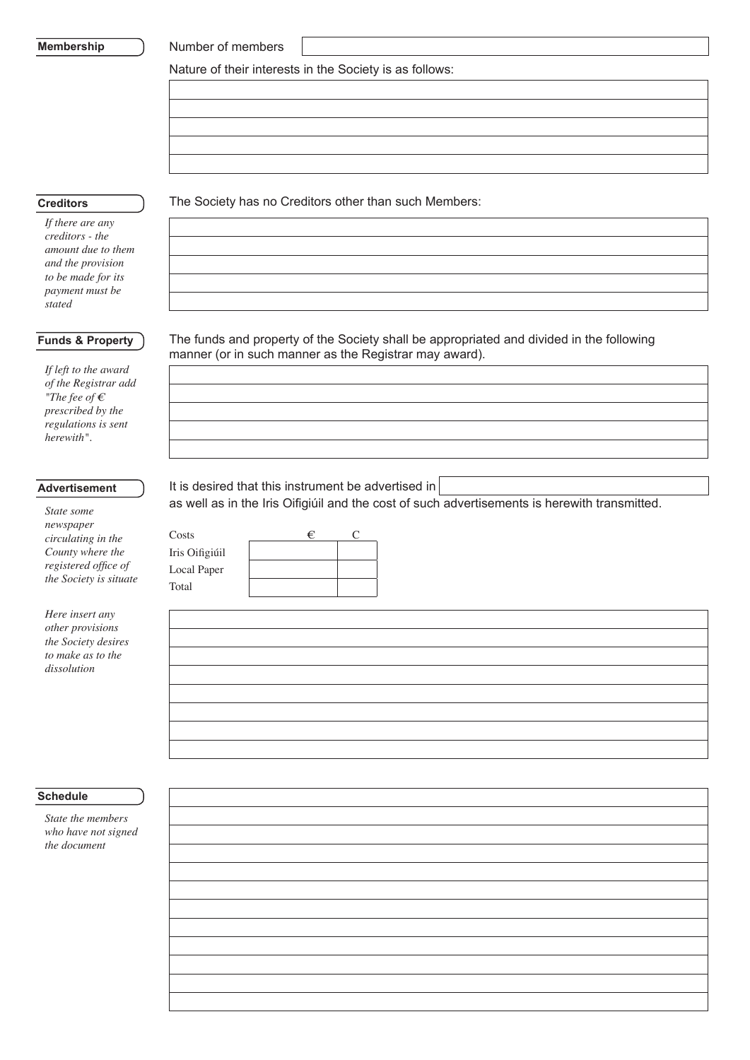#### **Membership**

Number of members

Nature of their interests in the Society is as follows:

#### **Creditors**

*If there are any creditors - the amount due to them and the provision to be made for its payment must be stated*

#### **Funds & Property**

*If left to the award of the Registrar add "The fee of € prescribed by the regulations is sent herewith".*

#### **Advertisement**

*State some newspaper circulating in the County where the registered office of the Society is situate*

| Here insert any            |
|----------------------------|
| <i>other provisions</i>    |
| <i>the Society desires</i> |
| to make as to the          |
| dissolution                |

#### The Society has no Creditors other than such Members:

The funds and property of the Society shall be appropriated and divided in the following manner (or in such manner as the Registrar may award).

It is desired that this instrument be advertised in

as well as in the Iris Oifigiúil and the cost of such advertisements is herewith transmitted.

| Costs          | € |  |
|----------------|---|--|
| Iris Oifigiúil |   |  |
| Local Paper    |   |  |
| Total          |   |  |
|                |   |  |

#### **Schedule**

*State the members who have not signed the document*